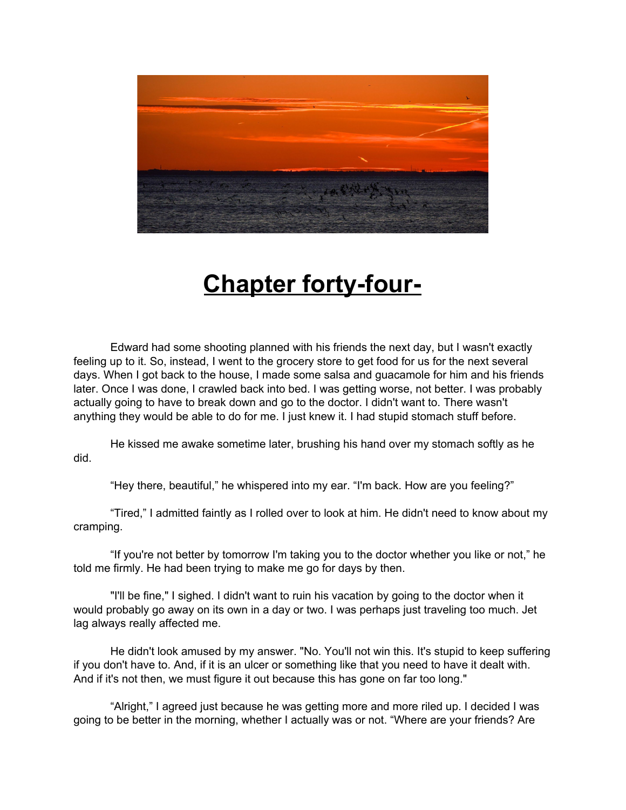

## **Chapter forty-four-**

Edward had some shooting planned with his friends the next day, but I wasn't exactly feeling up to it. So, instead, I went to the grocery store to get food for us for the next several days. When I got back to the house, I made some salsa and guacamole for him and his friends later. Once I was done, I crawled back into bed. I was getting worse, not better. I was probably actually going to have to break down and go to the doctor. I didn't want to. There wasn't anything they would be able to do for me. I just knew it. I had stupid stomach stuff before.

He kissed me awake sometime later, brushing his hand over my stomach softly as he did.

"Hey there, beautiful," he whispered into my ear. "I'm back. How are you feeling?"

"Tired," I admitted faintly as I rolled over to look at him. He didn't need to know about my cramping.

"If you're not better by tomorrow I'm taking you to the doctor whether you like or not," he told me firmly. He had been trying to make me go for days by then.

"I'll be fine," I sighed. I didn't want to ruin his vacation by going to the doctor when it would probably go away on its own in a day or two. I was perhaps just traveling too much. Jet lag always really affected me.

He didn't look amused by my answer. "No. You'll not win this. It's stupid to keep suffering if you don't have to. And, if it is an ulcer or something like that you need to have it dealt with. And if it's not then, we must figure it out because this has gone on far too long."

"Alright," I agreed just because he was getting more and more riled up. I decided I was going to be better in the morning, whether I actually was or not. "Where are your friends? Are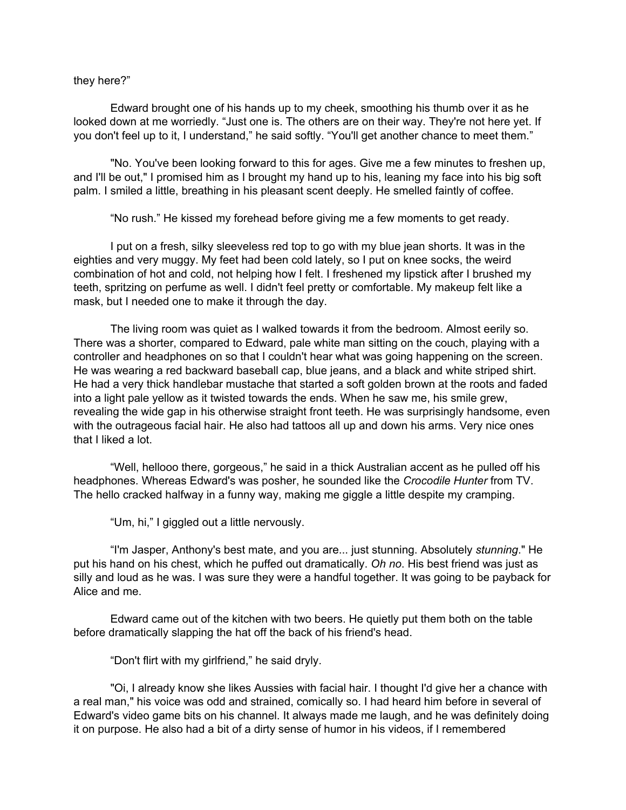## they here?"

Edward brought one of his hands up to my cheek, smoothing his thumb over it as he looked down at me worriedly. "Just one is. The others are on their way. They're not here yet. If you don't feel up to it, I understand," he said softly. "You'll get another chance to meet them."

"No. You've been looking forward to this for ages. Give me a few minutes to freshen up, and I'll be out," I promised him as I brought my hand up to his, leaning my face into his big soft palm. I smiled a little, breathing in his pleasant scent deeply. He smelled faintly of coffee.

"No rush." He kissed my forehead before giving me a few moments to get ready.

I put on a fresh, silky sleeveless red top to go with my blue jean shorts. It was in the eighties and very muggy. My feet had been cold lately, so I put on knee socks, the weird combination of hot and cold, not helping how I felt. I freshened my lipstick after I brushed my teeth, spritzing on perfume as well. I didn't feel pretty or comfortable. My makeup felt like a mask, but I needed one to make it through the day.

The living room was quiet as I walked towards it from the bedroom. Almost eerily so. There was a shorter, compared to Edward, pale white man sitting on the couch, playing with a controller and headphones on so that I couldn't hear what was going happening on the screen. He was wearing a red backward baseball cap, blue jeans, and a black and white striped shirt. He had a very thick handlebar mustache that started a soft golden brown at the roots and faded into a light pale yellow as it twisted towards the ends. When he saw me, his smile grew, revealing the wide gap in his otherwise straight front teeth. He was surprisingly handsome, even with the outrageous facial hair. He also had tattoos all up and down his arms. Very nice ones that I liked a lot.

"Well, hellooo there, gorgeous," he said in a thick Australian accent as he pulled off his headphones. Whereas Edward's was posher, he sounded like the *Crocodile Hunter* from TV. The hello cracked halfway in a funny way, making me giggle a little despite my cramping.

"Um, hi," I giggled out a little nervously.

"I'm Jasper, Anthony's best mate, and you are... just stunning. Absolutely *stunning*." He put his hand on his chest, which he puffed out dramatically. *Oh no*. His best friend was just as silly and loud as he was. I was sure they were a handful together. It was going to be payback for Alice and me.

Edward came out of the kitchen with two beers. He quietly put them both on the table before dramatically slapping the hat off the back of his friend's head.

"Don't flirt with my girlfriend," he said dryly.

"Oi, I already know she likes Aussies with facial hair. I thought I'd give her a chance with a real man," his voice was odd and strained, comically so. I had heard him before in several of Edward's video game bits on his channel. It always made me laugh, and he was definitely doing it on purpose. He also had a bit of a dirty sense of humor in his videos, if I remembered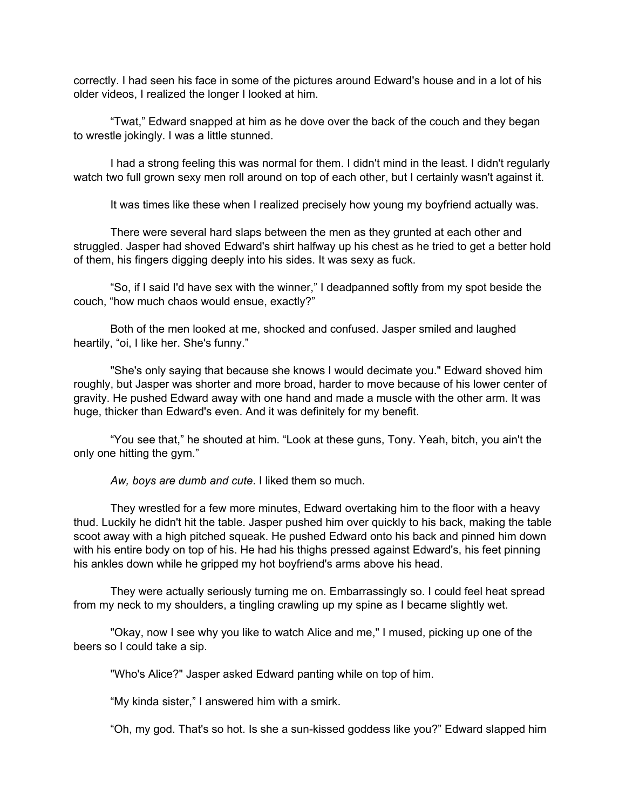correctly. I had seen his face in some of the pictures around Edward's house and in a lot of his older videos, I realized the longer I looked at him.

"Twat," Edward snapped at him as he dove over the back of the couch and they began to wrestle jokingly. I was a little stunned.

I had a strong feeling this was normal for them. I didn't mind in the least. I didn't regularly watch two full grown sexy men roll around on top of each other, but I certainly wasn't against it.

It was times like these when I realized precisely how young my boyfriend actually was.

There were several hard slaps between the men as they grunted at each other and struggled. Jasper had shoved Edward's shirt halfway up his chest as he tried to get a better hold of them, his fingers digging deeply into his sides. It was sexy as fuck.

"So, if I said I'd have sex with the winner," I deadpanned softly from my spot beside the couch, "how much chaos would ensue, exactly?"

Both of the men looked at me, shocked and confused. Jasper smiled and laughed heartily, "oi, I like her. She's funny."

"She's only saying that because she knows I would decimate you." Edward shoved him roughly, but Jasper was shorter and more broad, harder to move because of his lower center of gravity. He pushed Edward away with one hand and made a muscle with the other arm. It was huge, thicker than Edward's even. And it was definitely for my benefit.

"You see that," he shouted at him. "Look at these guns, Tony. Yeah, bitch, you ain't the only one hitting the gym."

*Aw, boys are dumb and cute*. I liked them so much.

They wrestled for a few more minutes, Edward overtaking him to the floor with a heavy thud. Luckily he didn't hit the table. Jasper pushed him over quickly to his back, making the table scoot away with a high pitched squeak. He pushed Edward onto his back and pinned him down with his entire body on top of his. He had his thighs pressed against Edward's, his feet pinning his ankles down while he gripped my hot boyfriend's arms above his head.

They were actually seriously turning me on. Embarrassingly so. I could feel heat spread from my neck to my shoulders, a tingling crawling up my spine as I became slightly wet.

"Okay, now I see why you like to watch Alice and me," I mused, picking up one of the beers so I could take a sip.

"Who's Alice?" Jasper asked Edward panting while on top of him.

"My kinda sister," I answered him with a smirk.

"Oh, my god. That's so hot. Is she a sun-kissed goddess like you?" Edward slapped him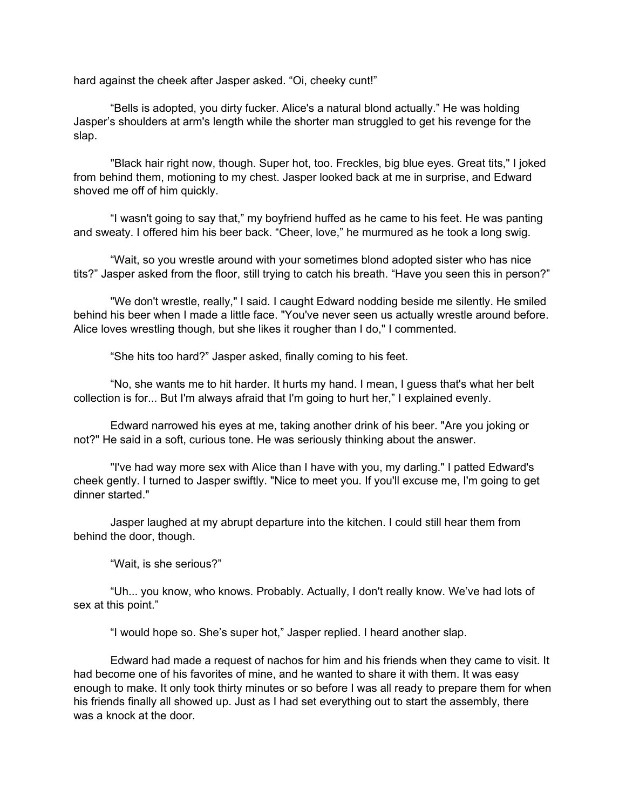hard against the cheek after Jasper asked. "Oi, cheeky cunt!"

"Bells is adopted, you dirty fucker. Alice's a natural blond actually." He was holding Jasper's shoulders at arm's length while the shorter man struggled to get his revenge for the slap.

"Black hair right now, though. Super hot, too. Freckles, big blue eyes. Great tits," I joked from behind them, motioning to my chest. Jasper looked back at me in surprise, and Edward shoved me off of him quickly.

"I wasn't going to say that," my boyfriend huffed as he came to his feet. He was panting and sweaty. I offered him his beer back. "Cheer, love," he murmured as he took a long swig.

"Wait, so you wrestle around with your sometimes blond adopted sister who has nice tits?" Jasper asked from the floor, still trying to catch his breath. "Have you seen this in person?"

"We don't wrestle, really," I said. I caught Edward nodding beside me silently. He smiled behind his beer when I made a little face. "You've never seen us actually wrestle around before. Alice loves wrestling though, but she likes it rougher than I do," I commented.

"She hits too hard?" Jasper asked, finally coming to his feet.

"No, she wants me to hit harder. It hurts my hand. I mean, I guess that's what her belt collection is for... But I'm always afraid that I'm going to hurt her," I explained evenly.

Edward narrowed his eyes at me, taking another drink of his beer. "Are you joking or not?" He said in a soft, curious tone. He was seriously thinking about the answer.

"I've had way more sex with Alice than I have with you, my darling." I patted Edward's cheek gently. I turned to Jasper swiftly. "Nice to meet you. If you'll excuse me, I'm going to get dinner started."

Jasper laughed at my abrupt departure into the kitchen. I could still hear them from behind the door, though.

"Wait, is she serious?"

"Uh... you know, who knows. Probably. Actually, I don't really know. We've had lots of sex at this point."

"I would hope so. She's super hot," Jasper replied. I heard another slap.

Edward had made a request of nachos for him and his friends when they came to visit. It had become one of his favorites of mine, and he wanted to share it with them. It was easy enough to make. It only took thirty minutes or so before I was all ready to prepare them for when his friends finally all showed up. Just as I had set everything out to start the assembly, there was a knock at the door.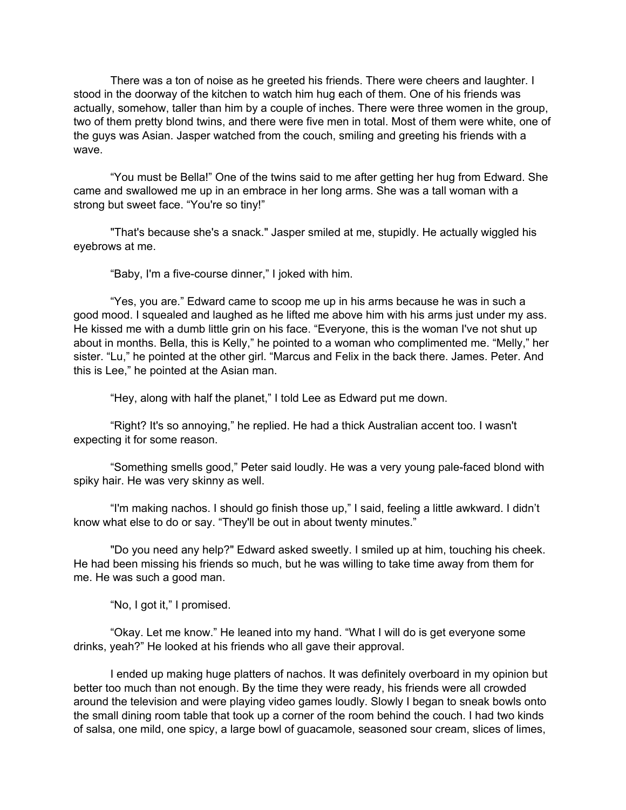There was a ton of noise as he greeted his friends. There were cheers and laughter. I stood in the doorway of the kitchen to watch him hug each of them. One of his friends was actually, somehow, taller than him by a couple of inches. There were three women in the group, two of them pretty blond twins, and there were five men in total. Most of them were white, one of the guys was Asian. Jasper watched from the couch, smiling and greeting his friends with a wave.

"You must be Bella!" One of the twins said to me after getting her hug from Edward. She came and swallowed me up in an embrace in her long arms. She was a tall woman with a strong but sweet face. "You're so tiny!"

"That's because she's a snack." Jasper smiled at me, stupidly. He actually wiggled his eyebrows at me.

"Baby, I'm a five-course dinner," I joked with him.

"Yes, you are." Edward came to scoop me up in his arms because he was in such a good mood. I squealed and laughed as he lifted me above him with his arms just under my ass. He kissed me with a dumb little grin on his face. "Everyone, this is the woman I've not shut up about in months. Bella, this is Kelly," he pointed to a woman who complimented me. "Melly," her sister. "Lu," he pointed at the other girl. "Marcus and Felix in the back there. James. Peter. And this is Lee," he pointed at the Asian man.

"Hey, along with half the planet," I told Lee as Edward put me down.

"Right? It's so annoying," he replied. He had a thick Australian accent too. I wasn't expecting it for some reason.

"Something smells good," Peter said loudly. He was a very young pale-faced blond with spiky hair. He was very skinny as well.

"I'm making nachos. I should go finish those up," I said, feeling a little awkward. I didn't know what else to do or say. "They'll be out in about twenty minutes."

"Do you need any help?" Edward asked sweetly. I smiled up at him, touching his cheek. He had been missing his friends so much, but he was willing to take time away from them for me. He was such a good man.

"No, I got it," I promised.

"Okay. Let me know." He leaned into my hand. "What I will do is get everyone some drinks, yeah?" He looked at his friends who all gave their approval.

I ended up making huge platters of nachos. It was definitely overboard in my opinion but better too much than not enough. By the time they were ready, his friends were all crowded around the television and were playing video games loudly. Slowly I began to sneak bowls onto the small dining room table that took up a corner of the room behind the couch. I had two kinds of salsa, one mild, one spicy, a large bowl of guacamole, seasoned sour cream, slices of limes,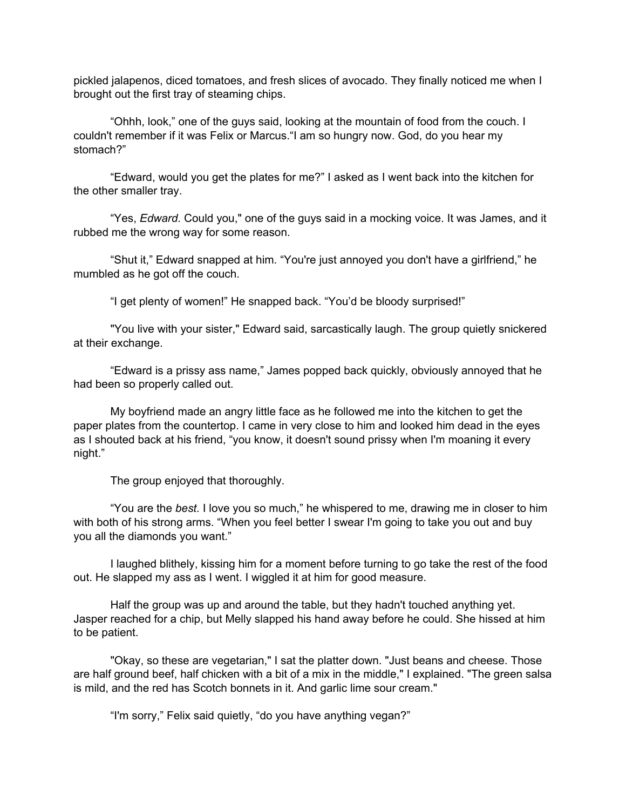pickled jalapenos, diced tomatoes, and fresh slices of avocado. They finally noticed me when I brought out the first tray of steaming chips.

"Ohhh, look," one of the guys said, looking at the mountain of food from the couch. I couldn't remember if it was Felix or Marcus."I am so hungry now. God, do you hear my stomach?"

"Edward, would you get the plates for me?" I asked as I went back into the kitchen for the other smaller tray.

"Yes, *Edward.* Could you," one of the guys said in a mocking voice. It was James, and it rubbed me the wrong way for some reason.

"Shut it," Edward snapped at him. "You're just annoyed you don't have a girlfriend," he mumbled as he got off the couch.

"I get plenty of women!" He snapped back. "You'd be bloody surprised!"

"You live with your sister," Edward said, sarcastically laugh. The group quietly snickered at their exchange.

"Edward is a prissy ass name," James popped back quickly, obviously annoyed that he had been so properly called out.

My boyfriend made an angry little face as he followed me into the kitchen to get the paper plates from the countertop. I came in very close to him and looked him dead in the eyes as I shouted back at his friend, "you know, it doesn't sound prissy when I'm moaning it every night."

The group enjoyed that thoroughly.

"You are the *best.* I love you so much," he whispered to me, drawing me in closer to him with both of his strong arms. "When you feel better I swear I'm going to take you out and buy you all the diamonds you want."

I laughed blithely, kissing him for a moment before turning to go take the rest of the food out. He slapped my ass as I went. I wiggled it at him for good measure.

Half the group was up and around the table, but they hadn't touched anything yet. Jasper reached for a chip, but Melly slapped his hand away before he could. She hissed at him to be patient.

"Okay, so these are vegetarian," I sat the platter down. "Just beans and cheese. Those are half ground beef, half chicken with a bit of a mix in the middle," I explained. "The green salsa is mild, and the red has Scotch bonnets in it. And garlic lime sour cream."

"I'm sorry," Felix said quietly, "do you have anything vegan?"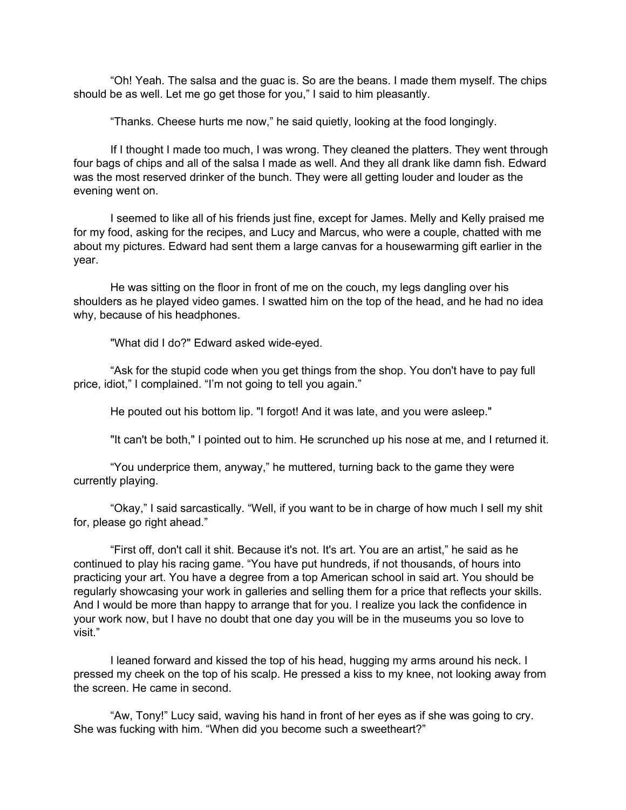"Oh! Yeah. The salsa and the guac is. So are the beans. I made them myself. The chips should be as well. Let me go get those for you," I said to him pleasantly.

"Thanks. Cheese hurts me now," he said quietly, looking at the food longingly.

If I thought I made too much, I was wrong. They cleaned the platters. They went through four bags of chips and all of the salsa I made as well. And they all drank like damn fish. Edward was the most reserved drinker of the bunch. They were all getting louder and louder as the evening went on.

I seemed to like all of his friends just fine, except for James. Melly and Kelly praised me for my food, asking for the recipes, and Lucy and Marcus, who were a couple, chatted with me about my pictures. Edward had sent them a large canvas for a housewarming gift earlier in the year.

He was sitting on the floor in front of me on the couch, my legs dangling over his shoulders as he played video games. I swatted him on the top of the head, and he had no idea why, because of his headphones.

"What did I do?" Edward asked wide-eyed.

"Ask for the stupid code when you get things from the shop. You don't have to pay full price, idiot," I complained. "I'm not going to tell you again."

He pouted out his bottom lip. "I forgot! And it was late, and you were asleep."

"It can't be both," I pointed out to him. He scrunched up his nose at me, and I returned it.

"You underprice them, anyway," he muttered, turning back to the game they were currently playing.

"Okay," I said sarcastically. "Well, if you want to be in charge of how much I sell my shit for, please go right ahead."

"First off, don't call it shit. Because it's not. It's art. You are an artist," he said as he continued to play his racing game. "You have put hundreds, if not thousands, of hours into practicing your art. You have a degree from a top American school in said art. You should be regularly showcasing your work in galleries and selling them for a price that reflects your skills. And I would be more than happy to arrange that for you. I realize you lack the confidence in your work now, but I have no doubt that one day you will be in the museums you so love to visit."

I leaned forward and kissed the top of his head, hugging my arms around his neck. I pressed my cheek on the top of his scalp. He pressed a kiss to my knee, not looking away from the screen. He came in second.

"Aw, Tony!" Lucy said, waving his hand in front of her eyes as if she was going to cry. She was fucking with him. "When did you become such a sweetheart?"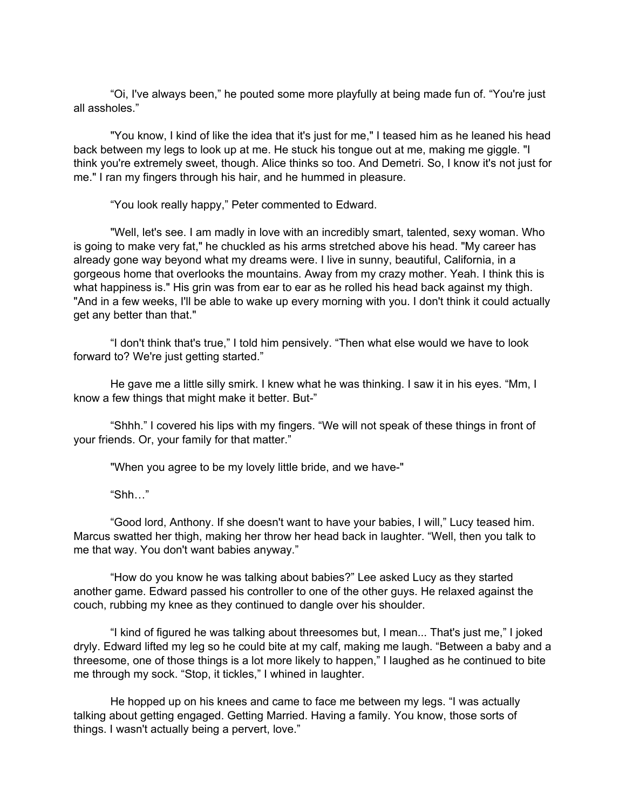"Oi, I've always been," he pouted some more playfully at being made fun of. "You're just all assholes."

"You know, I kind of like the idea that it's just for me," I teased him as he leaned his head back between my legs to look up at me. He stuck his tongue out at me, making me giggle. "I think you're extremely sweet, though. Alice thinks so too. And Demetri. So, I know it's not just for me." I ran my fingers through his hair, and he hummed in pleasure.

"You look really happy," Peter commented to Edward.

"Well, let's see. I am madly in love with an incredibly smart, talented, sexy woman. Who is going to make very fat," he chuckled as his arms stretched above his head. "My career has already gone way beyond what my dreams were. I live in sunny, beautiful, California, in a gorgeous home that overlooks the mountains. Away from my crazy mother. Yeah. I think this is what happiness is." His grin was from ear to ear as he rolled his head back against my thigh. "And in a few weeks, I'll be able to wake up every morning with you. I don't think it could actually get any better than that."

"I don't think that's true," I told him pensively. "Then what else would we have to look forward to? We're just getting started."

He gave me a little silly smirk. I knew what he was thinking. I saw it in his eyes. "Mm, I know a few things that might make it better. But-"

"Shhh." I covered his lips with my fingers. "We will not speak of these things in front of your friends. Or, your family for that matter."

"When you agree to be my lovely little bride, and we have-"

"Shh…"

"Good lord, Anthony. If she doesn't want to have your babies, I will," Lucy teased him. Marcus swatted her thigh, making her throw her head back in laughter. "Well, then you talk to me that way. You don't want babies anyway."

"How do you know he was talking about babies?" Lee asked Lucy as they started another game. Edward passed his controller to one of the other guys. He relaxed against the couch, rubbing my knee as they continued to dangle over his shoulder.

"I kind of figured he was talking about threesomes but, I mean... That's just me," I joked dryly. Edward lifted my leg so he could bite at my calf, making me laugh. "Between a baby and a threesome, one of those things is a lot more likely to happen," I laughed as he continued to bite me through my sock. "Stop, it tickles," I whined in laughter.

He hopped up on his knees and came to face me between my legs. "I was actually talking about getting engaged. Getting Married. Having a family. You know, those sorts of things. I wasn't actually being a pervert, love."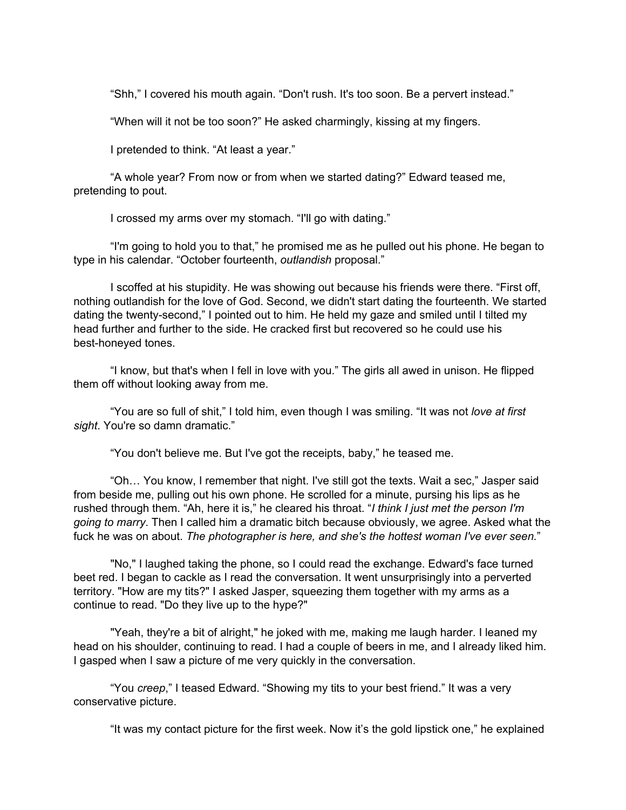"Shh," I covered his mouth again. "Don't rush. It's too soon. Be a pervert instead."

"When will it not be too soon?" He asked charmingly, kissing at my fingers.

I pretended to think. "At least a year."

"A whole year? From now or from when we started dating?" Edward teased me, pretending to pout.

I crossed my arms over my stomach. "I'll go with dating."

"I'm going to hold you to that," he promised me as he pulled out his phone. He began to type in his calendar. "October fourteenth, *outlandish* proposal."

I scoffed at his stupidity. He was showing out because his friends were there. "First off, nothing outlandish for the love of God. Second, we didn't start dating the fourteenth. We started dating the twenty-second," I pointed out to him. He held my gaze and smiled until I tilted my head further and further to the side. He cracked first but recovered so he could use his best-honeyed tones.

"I know, but that's when I fell in love with you." The girls all awed in unison. He flipped them off without looking away from me.

"You are so full of shit," I told him, even though I was smiling. "It was not *love at first sight*. You're so damn dramatic."

"You don't believe me. But I've got the receipts, baby," he teased me.

"Oh… You know, I remember that night. I've still got the texts. Wait a sec," Jasper said from beside me, pulling out his own phone. He scrolled for a minute, pursing his lips as he rushed through them. "Ah, here it is," he cleared his throat. "*I think I just met the person I'm going to marry*. Then I called him a dramatic bitch because obviously, we agree. Asked what the fuck he was on about. *The photographer is here, and she's the hottest woman I've ever seen.*"

"No," I laughed taking the phone, so I could read the exchange. Edward's face turned beet red. I began to cackle as I read the conversation. It went unsurprisingly into a perverted territory. "How are my tits?" I asked Jasper, squeezing them together with my arms as a continue to read. "Do they live up to the hype?"

"Yeah, they're a bit of alright," he joked with me, making me laugh harder. I leaned my head on his shoulder, continuing to read. I had a couple of beers in me, and I already liked him. I gasped when I saw a picture of me very quickly in the conversation.

"You *creep*," I teased Edward. "Showing my tits to your best friend." It was a very conservative picture.

"It was my contact picture for the first week. Now it's the gold lipstick one," he explained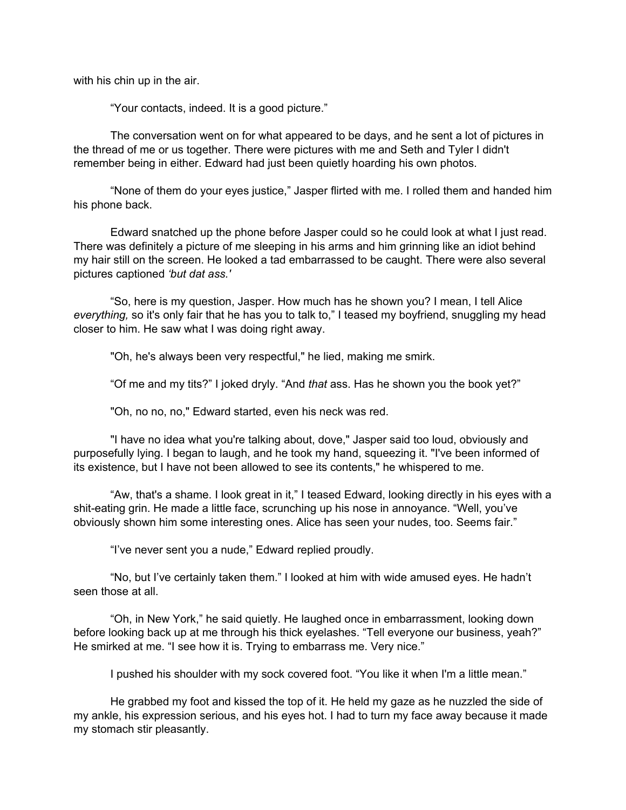with his chin up in the air.

"Your contacts, indeed. It is a good picture."

The conversation went on for what appeared to be days, and he sent a lot of pictures in the thread of me or us together. There were pictures with me and Seth and Tyler I didn't remember being in either. Edward had just been quietly hoarding his own photos.

"None of them do your eyes justice," Jasper flirted with me. I rolled them and handed him his phone back.

Edward snatched up the phone before Jasper could so he could look at what I just read. There was definitely a picture of me sleeping in his arms and him grinning like an idiot behind my hair still on the screen. He looked a tad embarrassed to be caught. There were also several pictures captioned *'but dat ass.'*

"So, here is my question, Jasper. How much has he shown you? I mean, I tell Alice *everything,* so it's only fair that he has you to talk to," I teased my boyfriend, snuggling my head closer to him. He saw what I was doing right away.

"Oh, he's always been very respectful," he lied, making me smirk.

"Of me and my tits?" I joked dryly. "And *that* ass. Has he shown you the book yet?"

"Oh, no no, no," Edward started, even his neck was red.

"I have no idea what you're talking about, dove," Jasper said too loud, obviously and purposefully lying. I began to laugh, and he took my hand, squeezing it. "I've been informed of its existence, but I have not been allowed to see its contents," he whispered to me.

"Aw, that's a shame. I look great in it," I teased Edward, looking directly in his eyes with a shit-eating grin. He made a little face, scrunching up his nose in annoyance. "Well, you've obviously shown him some interesting ones. Alice has seen your nudes, too. Seems fair."

"I've never sent you a nude," Edward replied proudly.

"No, but I've certainly taken them." I looked at him with wide amused eyes. He hadn't seen those at all.

"Oh, in New York," he said quietly. He laughed once in embarrassment, looking down before looking back up at me through his thick eyelashes. "Tell everyone our business, yeah?" He smirked at me. "I see how it is. Trying to embarrass me. Very nice."

I pushed his shoulder with my sock covered foot. "You like it when I'm a little mean."

He grabbed my foot and kissed the top of it. He held my gaze as he nuzzled the side of my ankle, his expression serious, and his eyes hot. I had to turn my face away because it made my stomach stir pleasantly.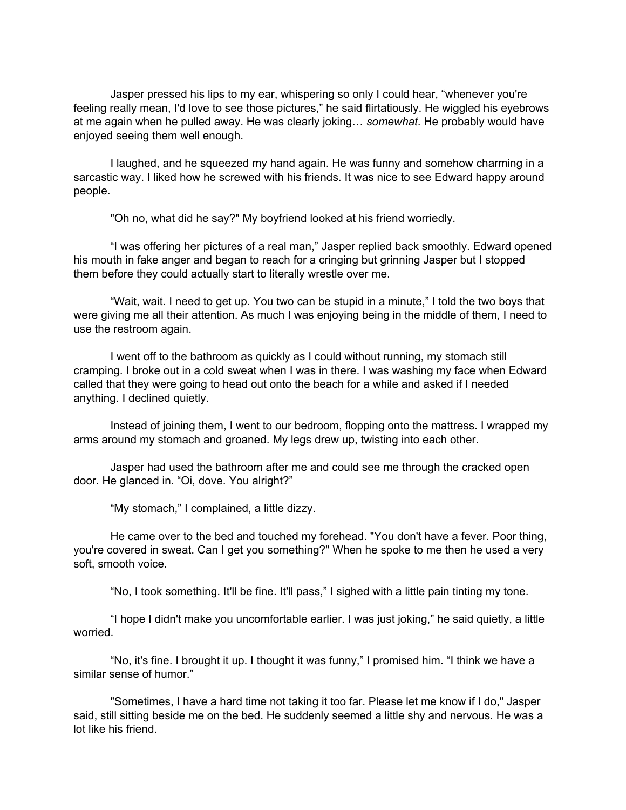Jasper pressed his lips to my ear, whispering so only I could hear, "whenever you're feeling really mean, I'd love to see those pictures," he said flirtatiously. He wiggled his eyebrows at me again when he pulled away. He was clearly joking… *somewhat*. He probably would have enjoyed seeing them well enough.

I laughed, and he squeezed my hand again. He was funny and somehow charming in a sarcastic way. I liked how he screwed with his friends. It was nice to see Edward happy around people.

"Oh no, what did he say?" My boyfriend looked at his friend worriedly.

"I was offering her pictures of a real man," Jasper replied back smoothly. Edward opened his mouth in fake anger and began to reach for a cringing but grinning Jasper but I stopped them before they could actually start to literally wrestle over me.

"Wait, wait. I need to get up. You two can be stupid in a minute," I told the two boys that were giving me all their attention. As much I was enjoying being in the middle of them, I need to use the restroom again.

I went off to the bathroom as quickly as I could without running, my stomach still cramping. I broke out in a cold sweat when I was in there. I was washing my face when Edward called that they were going to head out onto the beach for a while and asked if I needed anything. I declined quietly.

Instead of joining them, I went to our bedroom, flopping onto the mattress. I wrapped my arms around my stomach and groaned. My legs drew up, twisting into each other.

Jasper had used the bathroom after me and could see me through the cracked open door. He glanced in. "Oi, dove. You alright?"

"My stomach," I complained, a little dizzy.

He came over to the bed and touched my forehead. "You don't have a fever. Poor thing, you're covered in sweat. Can I get you something?" When he spoke to me then he used a very soft, smooth voice.

"No, I took something. It'll be fine. It'll pass," I sighed with a little pain tinting my tone.

"I hope I didn't make you uncomfortable earlier. I was just joking," he said quietly, a little worried.

"No, it's fine. I brought it up. I thought it was funny," I promised him. "I think we have a similar sense of humor."

"Sometimes, I have a hard time not taking it too far. Please let me know if I do," Jasper said, still sitting beside me on the bed. He suddenly seemed a little shy and nervous. He was a lot like his friend.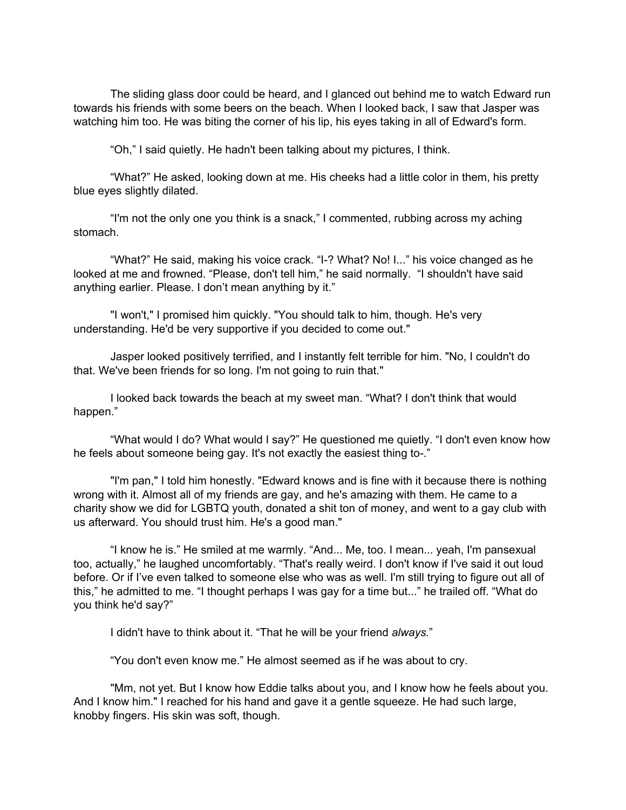The sliding glass door could be heard, and I glanced out behind me to watch Edward run towards his friends with some beers on the beach. When I looked back, I saw that Jasper was watching him too. He was biting the corner of his lip, his eyes taking in all of Edward's form.

"Oh," I said quietly. He hadn't been talking about my pictures, I think.

"What?" He asked, looking down at me. His cheeks had a little color in them, his pretty blue eyes slightly dilated.

"I'm not the only one you think is a snack," I commented, rubbing across my aching stomach.

"What?" He said, making his voice crack. "I-? What? No! I..." his voice changed as he looked at me and frowned. "Please, don't tell him," he said normally. "I shouldn't have said anything earlier. Please. I don't mean anything by it."

"I won't," I promised him quickly. "You should talk to him, though. He's very understanding. He'd be very supportive if you decided to come out."

Jasper looked positively terrified, and I instantly felt terrible for him. "No, I couldn't do that. We've been friends for so long. I'm not going to ruin that."

I looked back towards the beach at my sweet man. "What? I don't think that would happen."

"What would I do? What would I say?" He questioned me quietly. "I don't even know how he feels about someone being gay. It's not exactly the easiest thing to-."

"I'm pan," I told him honestly. "Edward knows and is fine with it because there is nothing wrong with it. Almost all of my friends are gay, and he's amazing with them. He came to a charity show we did for LGBTQ youth, donated a shit ton of money, and went to a gay club with us afterward. You should trust him. He's a good man."

"I know he is." He smiled at me warmly. "And... Me, too. I mean... yeah, I'm pansexual too, actually," he laughed uncomfortably. "That's really weird. I don't know if I've said it out loud before. Or if I've even talked to someone else who was as well. I'm still trying to figure out all of this," he admitted to me. "I thought perhaps I was gay for a time but..." he trailed off. "What do you think he'd say?"

I didn't have to think about it. "That he will be your friend *always.*"

"You don't even know me." He almost seemed as if he was about to cry.

"Mm, not yet. But I know how Eddie talks about you, and I know how he feels about you. And I know him." I reached for his hand and gave it a gentle squeeze. He had such large, knobby fingers. His skin was soft, though.